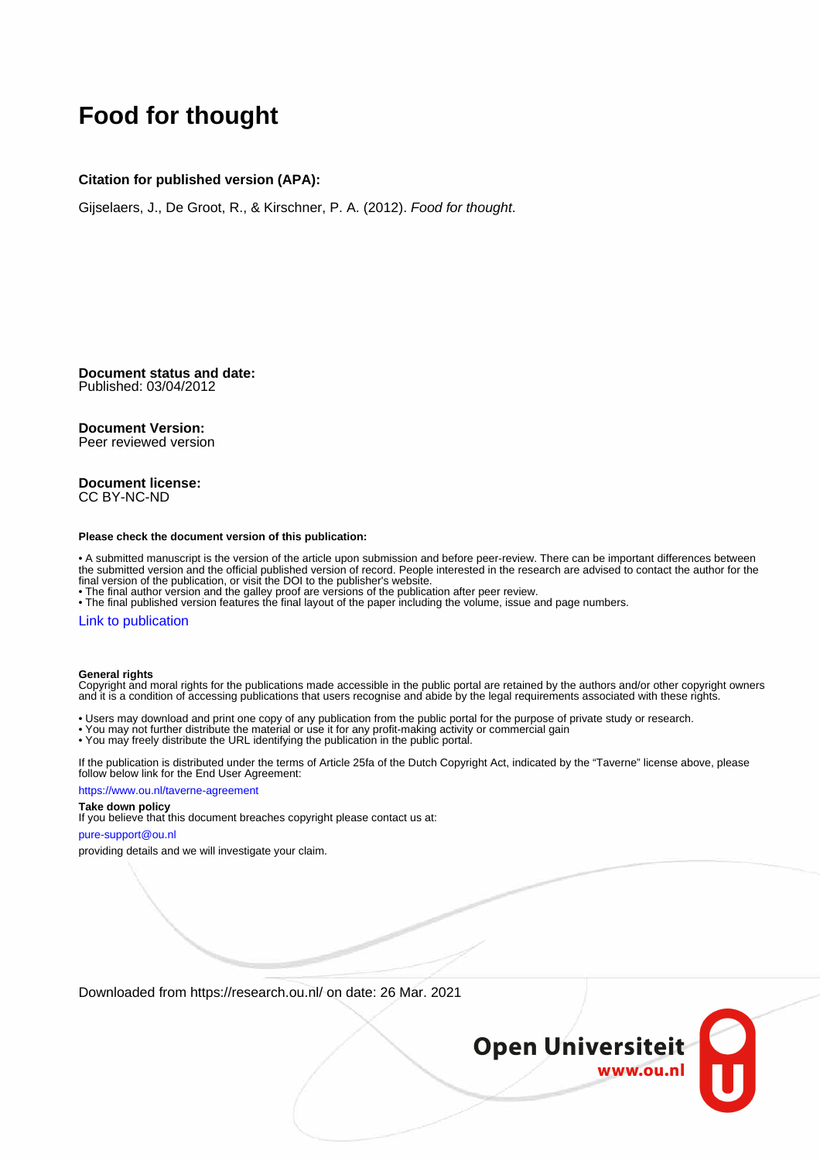### **Food for thought**

#### **Citation for published version (APA):**

Gijselaers, J., De Groot, R., & Kirschner, P. A. (2012). Food for thought.

**Document status and date:** Published: 03/04/2012

#### **Document Version:**

Peer reviewed version

#### **Document license:** CC BY-NC-ND

#### **Please check the document version of this publication:**

• A submitted manuscript is the version of the article upon submission and before peer-review. There can be important differences between the submitted version and the official published version of record. People interested in the research are advised to contact the author for the final version of the publication, or visit the DOI to the publisher's website.

• The final author version and the galley proof are versions of the publication after peer review.

• The final published version features the final layout of the paper including the volume, issue and page numbers.

#### [Link to publication](https://research.ou.nl/en/publications/9d9ea643-a09d-4e99-81c0-c8e05bc84659)

#### **General rights**

Copyright and moral rights for the publications made accessible in the public portal are retained by the authors and/or other copyright owners and it is a condition of accessing publications that users recognise and abide by the legal requirements associated with these rights.

- Users may download and print one copy of any publication from the public portal for the purpose of private study or research.
- You may not further distribute the material or use it for any profit-making activity or commercial gain
- You may freely distribute the URL identifying the publication in the public portal.

If the publication is distributed under the terms of Article 25fa of the Dutch Copyright Act, indicated by the "Taverne" license above, please follow below link for the End User Agreement:

#### https://www.ou.nl/taverne-agreement

#### **Take down policy**

If you believe that this document breaches copyright please contact us at:

#### pure-support@ou.nl

providing details and we will investigate your claim.

Downloaded from https://research.ou.nl/ on date: 26 Mar. 2021

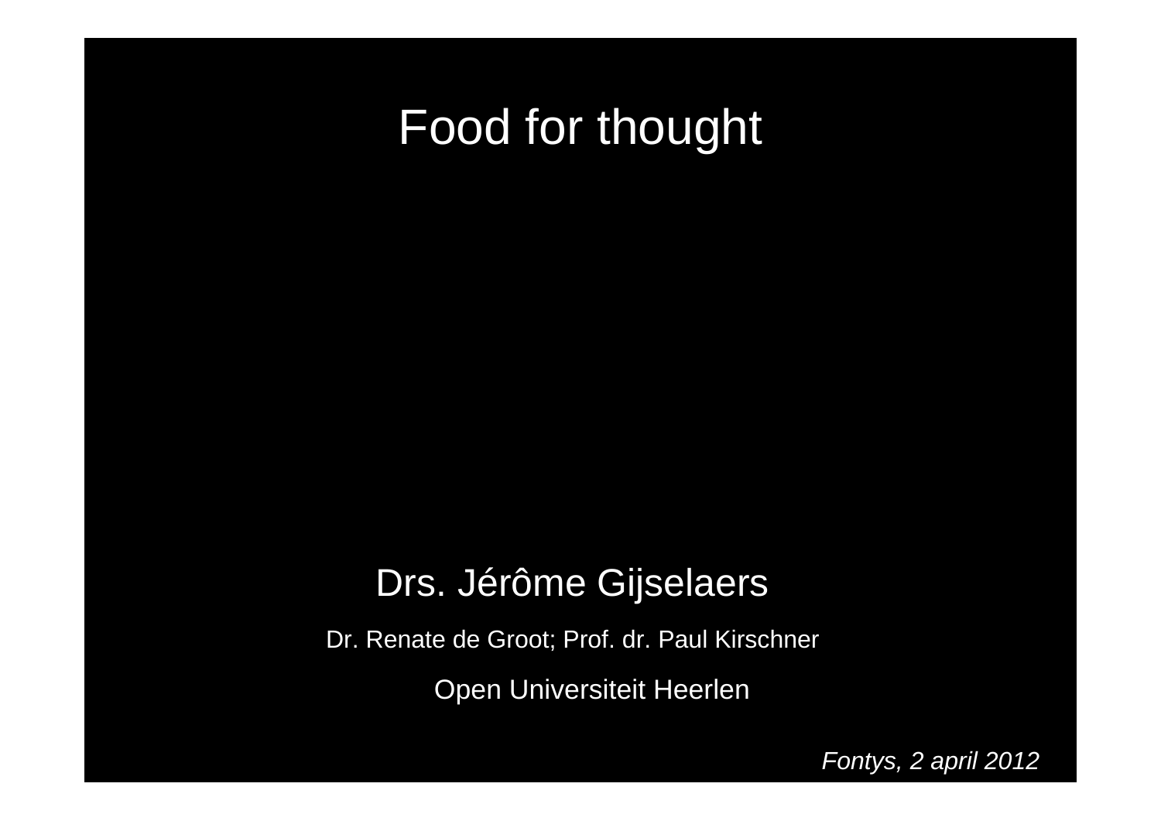# Food for thought

### Drs. Jérôme Gijselaers

Dr. Renate de Groot; Prof. dr. Paul Kirschner

Open Universiteit Heerlen

*Fontys, 2 april 2012*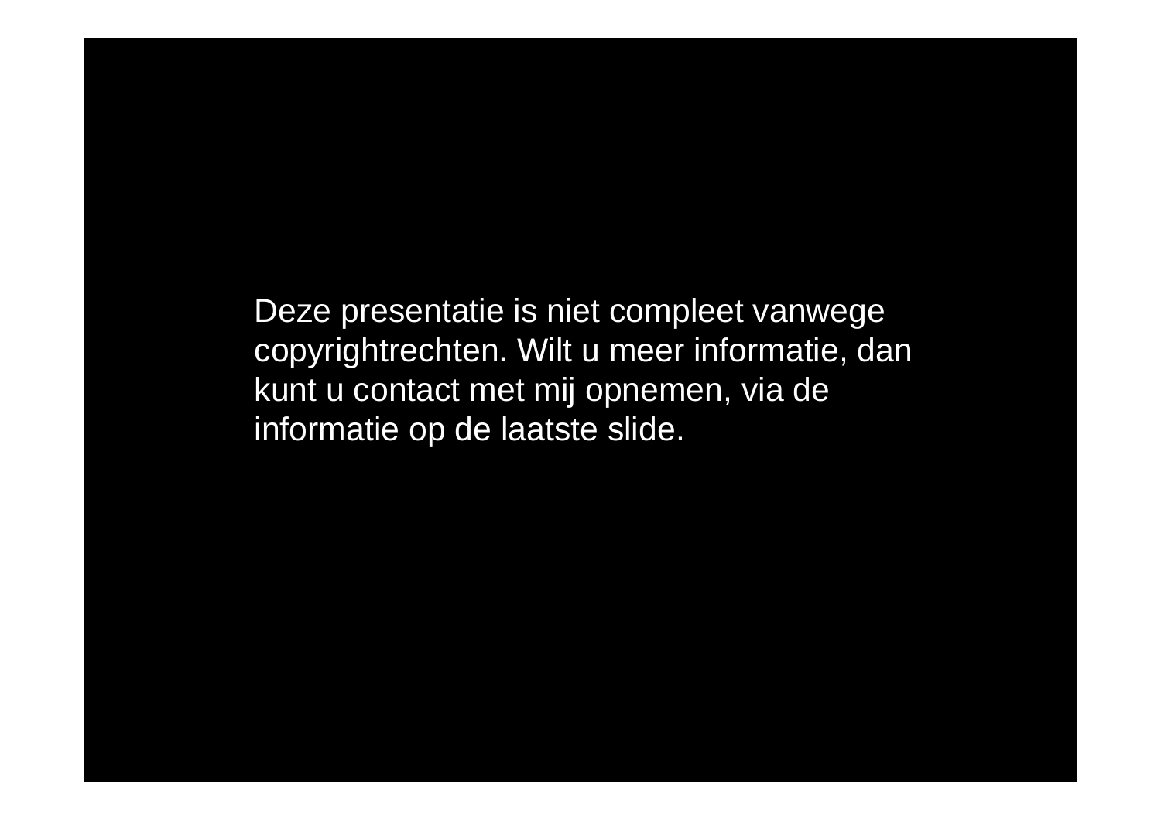Deze presentatie is niet compleet vanwege copyrightrechten. Wilt u meer informatie, dan kunt u contact met mij opnemen, via de informatie op de laatste slide.